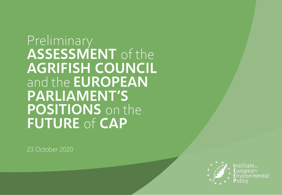Preliminary **ASSESSMENT** of the **AGRIFISH COUNCIL**  and the **EUROPEAN PARLIAMENT'S POSITIONS** on the **FUTURE** of **CAP**

23 October 2020



 $\sf Institute_{\,for}$ nmenta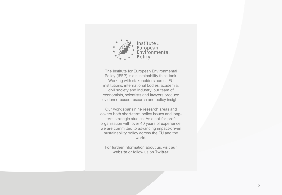

The Institute for European Environmental Policy (IEEP) is a sustainability think tank. Working with stakeholders across EU institutions, international bodies, academia, civil society and industry, our team of economists, scientists and lawyers produce evidence-based research and policy insight.

Our work spans nine research areas and covers both short-term policy issues and longterm strategic studies. As a not-for-profit organisation with over 40 years of experience, we are committed to advancing impact-driven sustainability policy across the EU and the world.

For [further information about us, visit](https://ieep.eu/) **our website** or follow us on **[Twitter](https://twitter.com/IEEP_eu)**.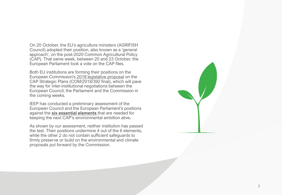On 20 October, the EU's agriculture ministers (AGRIFISH Council) adopted their position, also known as a 'general approach', on the post -2020 Common Agricultural Policy (CAP). That same week, between 20 and 23 October, the European Parliament took a vote on the CAP files.

Both EU institutions are forming their positions on the European Commission's [2018 legislative proposal](https://ec.europa.eu/info/food-farming-fisheries/key-policies/common-agricultural-policy/future-cap_en) on the CAP Strategic Plans (COM/2018/392 final), which will pave the way for inter-institutional negotiations between the European Council, the Parliament and the Commission in the coming weeks.

IEEP has conducted a preliminary assessment of the European Council and the European Parliament's positions against the **[six essential elements](https://ieep.eu/news/the-6-essentials-for-keeping-the-cap-s-green-ambition-alive)** that are needed for keeping the next CAP's environmental ambition alive **.**

As shown by our assessment, neither institution has passed the test. Their positions undermine 4 out of the 6 elements, while the other 2 do not contain sufficient safeguards to firmly preserve or build on the environmental and climate proposals put forward by the Commission.

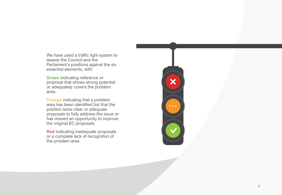We have used a traffic light system to assess the Council and the Parliament's positions against the six essential elements, with:

**Green** indicating reference or proposal that shows strong potential or adequately covers the problem area.

**Orange** indicating that a problem area has been identified but that the position lacks clear or adequate proposals to fully address the issue or has missed an opportunity to improve the original EC proposals.

**Red** indicating inadequate proposals or a complete lack of recognition of the problem area.

 $\overline{\textbf{x}}$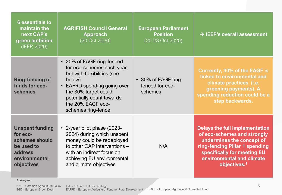| <b>6</b> essentials to<br>maintain the<br>next CAP's<br>green ambition<br>(IEEP, 2020)                       | <b>AGRIFISH Council General</b><br>Approach<br>(20 Oct 2020)                                                                                                                                                                                      | <b>European Parliament</b><br><b>Position</b><br>(20-23 Oct 2020) | $\rightarrow$ IEEP's overall assessment                                                                                                                                                                                     |
|--------------------------------------------------------------------------------------------------------------|---------------------------------------------------------------------------------------------------------------------------------------------------------------------------------------------------------------------------------------------------|-------------------------------------------------------------------|-----------------------------------------------------------------------------------------------------------------------------------------------------------------------------------------------------------------------------|
| <b>Ring-fencing of</b><br>funds for eco-<br>schemes                                                          | • 20% of EAGF ring-fenced<br>for eco-schemes each year,<br>but with flexibilities (see<br>below)<br><b>EAFRD</b> spending going over<br>$\bullet$<br>the 30% target could<br>potentially count towards<br>the 20% EAGF eco-<br>schemes ring-fence | • 30% of EAGF ring-<br>fenced for eco-<br>schemes                 | <b>Currently, 30% of the EAGF is</b><br>linked to environmental and<br>climate practices (i.e.<br>greening payments). A<br>spending reduction could be a<br>step backwards.                                                 |
| <b>Unspent funding</b><br>for eco-<br>schemes should<br>be used to<br>address<br>environmental<br>objectives | • 2-year pilot phase (2023-<br>2024) during which unspent<br>money could be redeployed<br>to other CAP interventions -<br>with an indirect focus on<br>achieving EU environmental<br>and climate objectives                                       | N/A                                                               | <b>Delays the full implementation</b><br>of eco-schemes and strongly<br>undermines the concept of<br>ring-fencing Pillar 1 spending<br>specifically for meeting EU<br>environmental and climate<br>objectives. <sup>1</sup> |

**Acronyms**:

CAP – Common Agricultural Policy EGD – European Green Deal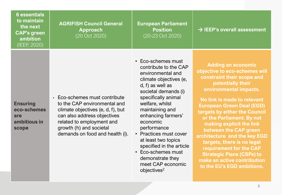| <b>6</b> essentials<br>to maintain<br>the next<br><b>CAP's green</b><br>ambition<br>(IEEP, 2020) | <b>AGRIFISH Council General</b><br><b>Approach</b><br>(20 Oct 2020)                                                                                                                                                                     | <b>European Parliament</b><br><b>Position</b><br>(20-23 Oct 2020)                                                                                                                                                                                                                                                                                                                                 | $\rightarrow$ IEEP's overall assessment                                                                                                                                                                                                                                                                                                                                                                                                                                                                                 |
|--------------------------------------------------------------------------------------------------|-----------------------------------------------------------------------------------------------------------------------------------------------------------------------------------------------------------------------------------------|---------------------------------------------------------------------------------------------------------------------------------------------------------------------------------------------------------------------------------------------------------------------------------------------------------------------------------------------------------------------------------------------------|-------------------------------------------------------------------------------------------------------------------------------------------------------------------------------------------------------------------------------------------------------------------------------------------------------------------------------------------------------------------------------------------------------------------------------------------------------------------------------------------------------------------------|
| <b>Ensuring</b><br>eco-schemes<br>are<br>ambitious in<br>scope                                   | Eco-schemes must contribute<br>$\bullet$<br>to the CAP environmental and<br>climate objectives (e, d, f), but<br>can also address objectives<br>related to employment and<br>growth (h) and societal<br>demands on food and health (i). | • Eco-schemes must<br>contribute to the CAP<br>environmental and<br>climate objectives (e,<br>$d, f$ as well as<br>societal demands (i)<br>specifically animal<br>welfare, whilst<br>maintaining and<br>enhancing farmers'<br>economic<br>performance<br>• Practices must cover<br>at least two topics<br>specified in the article<br>• Eco-schemes must<br>demonstrate they<br>meet CAP economic | <b>Adding an economic</b><br>objective to eco-schemes will<br>constraint their scope and<br>potentially their<br>environmental impacts.<br>No link is made to relevant<br><b>European Green Deal (EGD)</b><br>targets by either the Council<br>or the Parliament. By not<br>making explicit the link<br>between the CAP green<br>architecture and the key EGD<br>targets, there is no legal<br>requirement for the CAP<br><b>Strategic Plans (CSPs) to</b><br>make an active contribution<br>to the EU's EGD ambitions. |

objectives<sup>2</sup>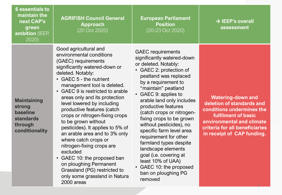| <b>6</b> essentials to<br>maintain the<br>next CAP's<br>green<br>ambition (IEEP,<br>2020)        | <b>AGRIFISH Council General</b><br><b>Approach</b><br>(20 Oct 2020)                                                                                                                                                                                                                                                                                                                                                                                                                                                                                                                                                                                          | <b>European Parliament</b><br><b>Position</b><br>(20-23 Oct 2020)                                                                                                                                                                                                                                                                                                                                                                                                                                                                                             | $\rightarrow$ IEEP's overall<br>assessment                                                                                                                                                                    |
|--------------------------------------------------------------------------------------------------|--------------------------------------------------------------------------------------------------------------------------------------------------------------------------------------------------------------------------------------------------------------------------------------------------------------------------------------------------------------------------------------------------------------------------------------------------------------------------------------------------------------------------------------------------------------------------------------------------------------------------------------------------------------|---------------------------------------------------------------------------------------------------------------------------------------------------------------------------------------------------------------------------------------------------------------------------------------------------------------------------------------------------------------------------------------------------------------------------------------------------------------------------------------------------------------------------------------------------------------|---------------------------------------------------------------------------------------------------------------------------------------------------------------------------------------------------------------|
| <b>Maintaining</b><br>strong<br><b>baseline</b><br><b>standards</b><br>through<br>conditionality | Good agricultural and<br>environmental conditions<br>(GAEC) requirements<br>significantly watered-down or<br>deleted. Notably:<br>• GAEC 5 - the nutrient<br>management tool is deleted.<br>GAEC 9 is restricted to arable<br>areas only and its protection<br>level lowered by including<br>productive features (catch<br>crops or nitrogen-fixing crops<br>to be grown without<br>pesticides). It applies to 5% of<br>an arable area and to 3% only<br>where catch crops or<br>nitrogen-fixing crops are<br>excluded<br>GAEC 10: the proposed ban<br>$\bullet$<br>on ploughing Permanent<br>Grassland (PG) restricted to<br>only come argeoland in Natural | <b>GAEC</b> requirements<br>significantly watered-down<br>or deleted. Notably:<br>GAEC 2: protection of<br>peatland was replaced<br>by a requirement to<br>"maintain" peatland<br>GAEC 9: applies to<br>$\bullet$<br>arable land only includes<br>productive features<br>(catch crops or nitrogen-<br>fixing crops to be grown<br>without pesticides), no<br>specific farm level area<br>requirement for other<br>farmland types despite<br>landscape elements<br>goal (i.e. covering at<br>least 10% of UAA)<br>GAEC 10: the proposed<br>ban on ploughing PG | <b>Watering-down and</b><br>deletion of standards and<br>conditions undermines the<br><b>fulfilment of basic</b><br>environmental and climate<br>criteria for all beneficiaries<br>in receipt of CAP funding. |

removed

7

only some grassland in Natura

2000 areas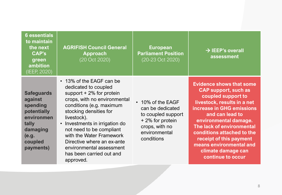| <b>6</b> essentials<br>to maintain<br>the next<br><b>CAP's</b><br>green<br>ambition<br>(IEEP, 2020)                         | <b>AGRIFISH Council General</b><br><b>Approach</b><br>(20 Oct 2020)                                                                                                                                                                                                                                                                                                              | <b>European</b><br><b>Parliament Position</b><br>(20-23 Oct 2020)                                                               | $\rightarrow$ IEEP's overall<br>assessment                                                                                                                                                                                                                                                                                                               |
|-----------------------------------------------------------------------------------------------------------------------------|----------------------------------------------------------------------------------------------------------------------------------------------------------------------------------------------------------------------------------------------------------------------------------------------------------------------------------------------------------------------------------|---------------------------------------------------------------------------------------------------------------------------------|----------------------------------------------------------------------------------------------------------------------------------------------------------------------------------------------------------------------------------------------------------------------------------------------------------------------------------------------------------|
| <b>Safeguards</b><br>against<br>spending<br>potentially<br>environmen<br>tally<br>damaging<br>(e.g.<br>coupled<br>payments) | • 13% of the EAGF can be<br>dedicated to coupled<br>support $+2\%$ for protein<br>crops, with no environmental<br>conditions (e.g. maximum<br>stocking densities for<br>livestock).<br>• Investments in irrigation do<br>not need to be compliant<br>with the Water Framework<br>Directive where an ex-ante<br>environmental assessment<br>has been carried out and<br>approved. | • 10% of the EAGF<br>can be dedicated<br>to coupled support<br>+2% for protein<br>crops, with no<br>environmental<br>conditions | <b>Evidence shows that some</b><br><b>CAP support, such as</b><br>coupled support to<br>livestock, results in a net<br>increase in GHG emissions<br>and can lead to<br>environmental damage.<br>The lack of environmental<br>conditions attached to the<br>receipt of this payment<br>means environmental and<br>climate damage can<br>continue to occur |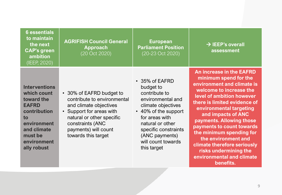| <b>6</b> essentials<br>to maintain<br>the next<br><b>CAP's green</b><br>ambition<br>(IEEP, 2020)                                                               | <b>AGRIFISH Council General</b><br><b>Approach</b><br>(20 Oct 2020)                                                                                                                                           | <b>European</b><br><b>Parliament Position</b><br>(20-23 Oct 2020)                                                                                                                                                                    | $\rightarrow$ IEEP's overall<br>assessment                                                                                                                                                                                                                                                                                                                                                                                                    |
|----------------------------------------------------------------------------------------------------------------------------------------------------------------|---------------------------------------------------------------------------------------------------------------------------------------------------------------------------------------------------------------|--------------------------------------------------------------------------------------------------------------------------------------------------------------------------------------------------------------------------------------|-----------------------------------------------------------------------------------------------------------------------------------------------------------------------------------------------------------------------------------------------------------------------------------------------------------------------------------------------------------------------------------------------------------------------------------------------|
| <b>Interventions</b><br>which count<br>toward the<br><b>EAFRD</b><br>contribution<br>to<br>environment<br>and climate<br>must be<br>environment<br>ally robust | • 30% of EAFRD budget to<br>contribute to environmental<br>and climate objectives<br>• Support for areas with<br>natural or other specific<br>constraints (ANC<br>payments) will count<br>towards this target | • 35% of EAFRD<br>budget to<br>contribute to<br>environmental and<br>climate objectives<br>• 40% of the support<br>for areas with<br>natural or other<br>specific constraints<br>(ANC payments)<br>will count towards<br>this target | <b>An increase in the EAFRD</b><br>minimum spend for the<br>environment and climate is<br>welcome to increase the<br>level of ambition however<br>there is limited evidence of<br>environmental targeting<br>and impacts of ANC<br>payments. Allowing those<br>payments to count towards<br>the minimum spending for<br>the environment and<br>climate therefore seriously<br>risks undermining the<br>environmental and climate<br>benefits. |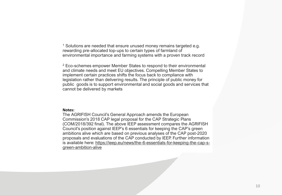<sup>1</sup> Solutions are needed that ensure unused money remains targeted e.g. rewarding pre-allocated top-ups to certain types of farmland of environmental importance and farming systems with a proven track record

<sup>2</sup> Eco-schemes empower Member States to respond to their environmental and climate needs and meet EU objectives. Compelling Member States to implement certain practices shifts the focus back to compliance with legislation rather than delivering results. The principle of public money for public goods is to support environmental and social goods and services that cannot be delivered by markets

## **Notes:**

The AGRIFISH Council's General Approach amends the European Commission's 2018 CAP legal proposal for the CAP Strategic Plans (COM/2018/392 final). The above IEEP assessment compares the AGRIFISH Council's position against IEEP's 6 essentials for keeping the CAP's green ambitions alive which are based on previous analyses of the CAP post-2020 proposals and evaluations of the CAP conducted by IEEP. Further information [is available here: https://ieep.eu/news/the-6-essentials-for-keeping-the-cap-s](https://ieep.eu/news/the-6-essentials-for-keeping-the-cap-s-green-ambition-alive)green-ambition-alive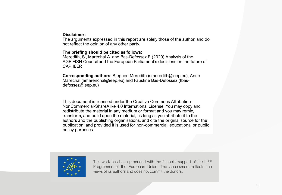## **Disclaimer:**

The arguments expressed in this report are solely those of the author, and do not reflect the opinion of any other party.

## **The briefing should be cited as follows:**

Meredith, S., Maréchal A. and Bas-Defossez F. (2020) Analysis of the AGRIFISH Council and the European Parliament's decisions on the future of CAP, IEEP.

**Corresponding authors**: Stephen Meredith (smeredith@ieep.eu), Anne Maréchal (amarenchal@ieep.eu) and Faustine Bas-Defossez (fbasdefossez@ieep.eu)

This document is licensed under the Creative Commons Attribution-NonCommercial-ShareAlike 4.0 International License. You may copy and redistribute the material in any medium or format and you may remix, transform, and build upon the material, as long as you attribute it to the authors and the publishing organisations, and cite the original source for the publication; and provided it is used for non-commercial, educational or public policy purposes.



This work has been produced with the financial support of the LIFE Programme of the European Union. The assessment reflects the views of its authors and does not commit the donors.